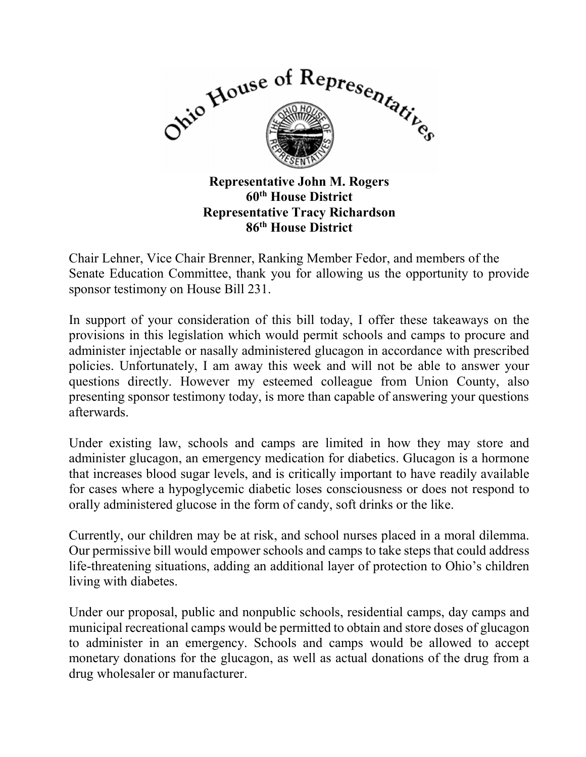

60<sup>th</sup> House District Representative Tracy Richardson 86th House District

Chair Lehner, Vice Chair Brenner, Ranking Member Fedor, and members of the Senate Education Committee, thank you for allowing us the opportunity to provide sponsor testimony on House Bill 231.

In support of your consideration of this bill today, I offer these takeaways on the provisions in this legislation which would permit schools and camps to procure and administer injectable or nasally administered glucagon in accordance with prescribed policies. Unfortunately, I am away this week and will not be able to answer your questions directly. However my esteemed colleague from Union County, also presenting sponsor testimony today, is more than capable of answering your questions afterwards.

Under existing law, schools and camps are limited in how they may store and administer glucagon, an emergency medication for diabetics. Glucagon is a hormone that increases blood sugar levels, and is critically important to have readily available for cases where a hypoglycemic diabetic loses consciousness or does not respond to orally administered glucose in the form of candy, soft drinks or the like.

Currently, our children may be at risk, and school nurses placed in a moral dilemma. Our permissive bill would empower schools and camps to take steps that could address life-threatening situations, adding an additional layer of protection to Ohio's children living with diabetes.

Under our proposal, public and nonpublic schools, residential camps, day camps and municipal recreational camps would be permitted to obtain and store doses of glucagon to administer in an emergency. Schools and camps would be allowed to accept monetary donations for the glucagon, as well as actual donations of the drug from a drug wholesaler or manufacturer.